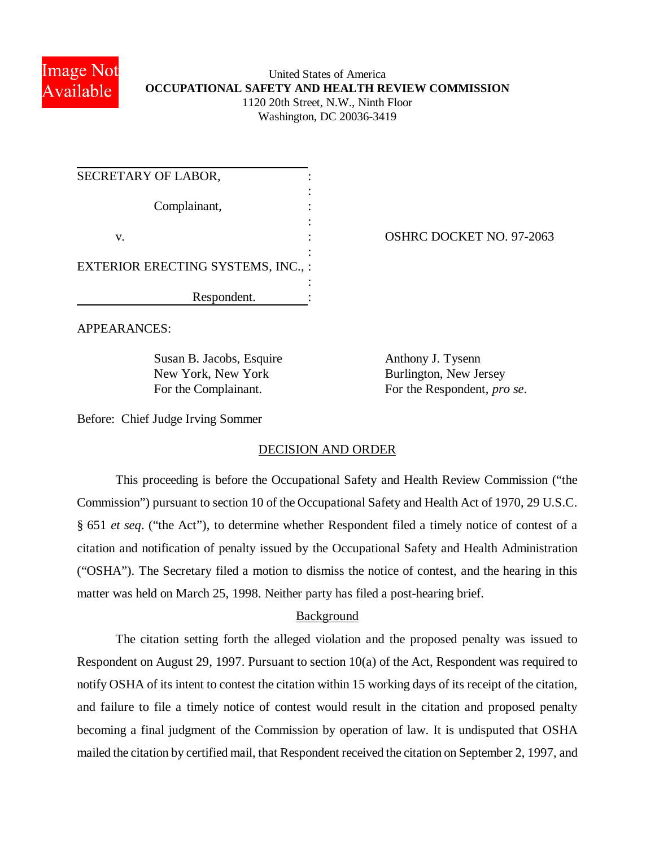

### United States of America **OCCUPATIONAL SAFETY AND HEALTH REVIEW COMMISSION** 1120 20th Street, N.W., Ninth Floor Washington, DC 20036-3419

| SECRETARY OF LABOR,                      |  |
|------------------------------------------|--|
| Complainant,                             |  |
| V.                                       |  |
| <b>EXTERIOR ERECTING SYSTEMS, INC.,:</b> |  |
| Respondent.                              |  |

OSHRC DOCKET NO. 97-2063

APPEARANCES:

Susan B. Jacobs, Esquire Anthony J. Tysenn New York, New York Burlington, New Jersey

For the Complainant. For the Respondent, *pro se*.

Before: Chief Judge Irving Sommer

# DECISION AND ORDER

This proceeding is before the Occupational Safety and Health Review Commission ("the Commission") pursuant to section 10 of the Occupational Safety and Health Act of 1970, 29 U.S.C. § 651 *et seq*. ("the Act"), to determine whether Respondent filed a timely notice of contest of a citation and notification of penalty issued by the Occupational Safety and Health Administration ("OSHA"). The Secretary filed a motion to dismiss the notice of contest, and the hearing in this matter was held on March 25, 1998. Neither party has filed a post-hearing brief.

# Background

The citation setting forth the alleged violation and the proposed penalty was issued to Respondent on August 29, 1997. Pursuant to section 10(a) of the Act, Respondent was required to notify OSHA of its intent to contest the citation within 15 working days of its receipt of the citation, and failure to file a timely notice of contest would result in the citation and proposed penalty becoming a final judgment of the Commission by operation of law. It is undisputed that OSHA mailed the citation by certified mail, that Respondent received the citation on September 2, 1997, and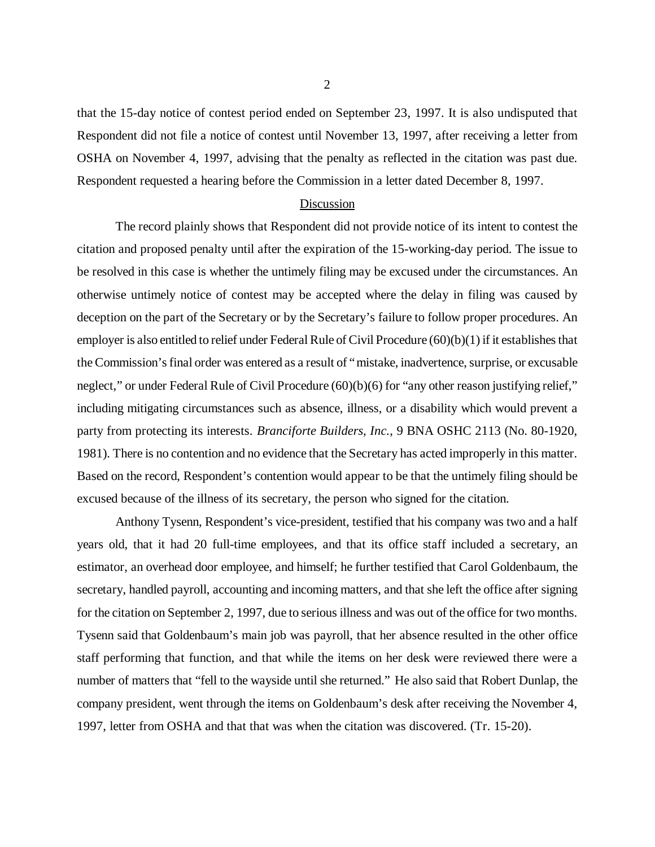that the 15-day notice of contest period ended on September 23, 1997. It is also undisputed that Respondent did not file a notice of contest until November 13, 1997, after receiving a letter from OSHA on November 4, 1997, advising that the penalty as reflected in the citation was past due. Respondent requested a hearing before the Commission in a letter dated December 8, 1997.

#### Discussion

The record plainly shows that Respondent did not provide notice of its intent to contest the citation and proposed penalty until after the expiration of the 15-working-day period. The issue to be resolved in this case is whether the untimely filing may be excused under the circumstances. An otherwise untimely notice of contest may be accepted where the delay in filing was caused by deception on the part of the Secretary or by the Secretary's failure to follow proper procedures. An employer is also entitled to relief under Federal Rule of Civil Procedure (60)(b)(1) if it establishes that the Commission's final order was entered as a result of "mistake, inadvertence, surprise, or excusable neglect," or under Federal Rule of Civil Procedure (60)(b)(6) for "any other reason justifying relief," including mitigating circumstances such as absence, illness, or a disability which would prevent a party from protecting its interests. *Branciforte Builders, Inc.*, 9 BNA OSHC 2113 (No. 80-1920, 1981). There is no contention and no evidence that the Secretary has acted improperly in this matter. Based on the record, Respondent's contention would appear to be that the untimely filing should be excused because of the illness of its secretary, the person who signed for the citation.

Anthony Tysenn, Respondent's vice-president, testified that his company was two and a half years old, that it had 20 full-time employees, and that its office staff included a secretary, an estimator, an overhead door employee, and himself; he further testified that Carol Goldenbaum, the secretary, handled payroll, accounting and incoming matters, and that she left the office after signing for the citation on September 2, 1997, due to serious illness and was out of the office for two months. Tysenn said that Goldenbaum's main job was payroll, that her absence resulted in the other office staff performing that function, and that while the items on her desk were reviewed there were a number of matters that "fell to the wayside until she returned." He also said that Robert Dunlap, the company president, went through the items on Goldenbaum's desk after receiving the November 4, 1997, letter from OSHA and that that was when the citation was discovered. (Tr. 15-20).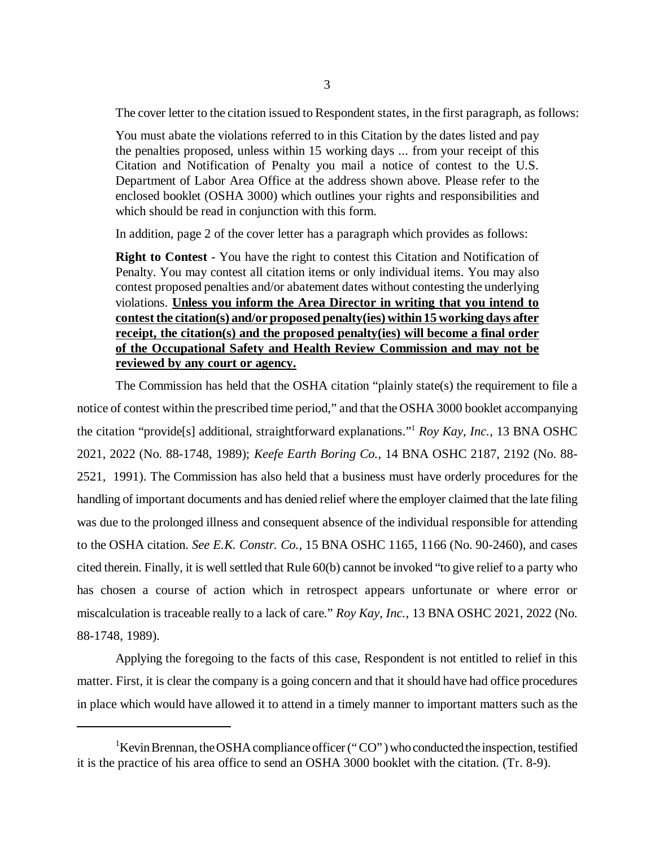The cover letter to the citation issued to Respondent states, in the first paragraph, as follows:

You must abate the violations referred to in this Citation by the dates listed and pay the penalties proposed, unless within 15 working days ... from your receipt of this Citation and Notification of Penalty you mail a notice of contest to the U.S. Department of Labor Area Office at the address shown above. Please refer to the enclosed booklet (OSHA 3000) which outlines your rights and responsibilities and which should be read in conjunction with this form.

In addition, page 2 of the cover letter has a paragraph which provides as follows:

**Right to Contest** - You have the right to contest this Citation and Notification of Penalty. You may contest all citation items or only individual items. You may also contest proposed penalties and/or abatement dates without contesting the underlying violations. **Unless you inform the Area Director in writing that you intend to contest the citation(s) and/or proposed penalty(ies) within 15 working days after receipt, the citation(s) and the proposed penalty(ies) will become a final order of the Occupational Safety and Health Review Commission and may not be reviewed by any court or agency.**

The Commission has held that the OSHA citation "plainly state(s) the requirement to file a notice of contest within the prescribed time period," and that the OSHA 3000 booklet accompanying the citation "provide[s] additional, straightforward explanations." <sup>1</sup> *Roy Kay, Inc.*, 13 BNA OSHC 2021, 2022 (No. 88-1748, 1989); *Keefe Earth Boring Co.*, 14 BNA OSHC 2187, 2192 (No. 88- 2521, 1991). The Commission has also held that a business must have orderly procedures for the handling of important documents and has denied relief where the employer claimed that the late filing was due to the prolonged illness and consequent absence of the individual responsible for attending to the OSHA citation. *See E.K. Constr. Co.*, 15 BNA OSHC 1165, 1166 (No. 90-2460), and cases cited therein. Finally, it is well settled that Rule 60(b) cannot be invoked "to give relief to a party who has chosen a course of action which in retrospect appears unfortunate or where error or miscalculation is traceable really to a lack of care." *Roy Kay, Inc.*, 13 BNA OSHC 2021, 2022 (No. 88-1748, 1989).

Applying the foregoing to the facts of this case, Respondent is not entitled to relief in this matter. First, it is clear the company is a going concern and that it should have had office procedures in place which would have allowed it to attend in a timely manner to important matters such as the

<sup>&</sup>lt;sup>1</sup>Kevin Brennan, the OSHA compliance officer ("CO") who conducted the inspection, testified it is the practice of his area office to send an OSHA 3000 booklet with the citation. (Tr. 8-9).